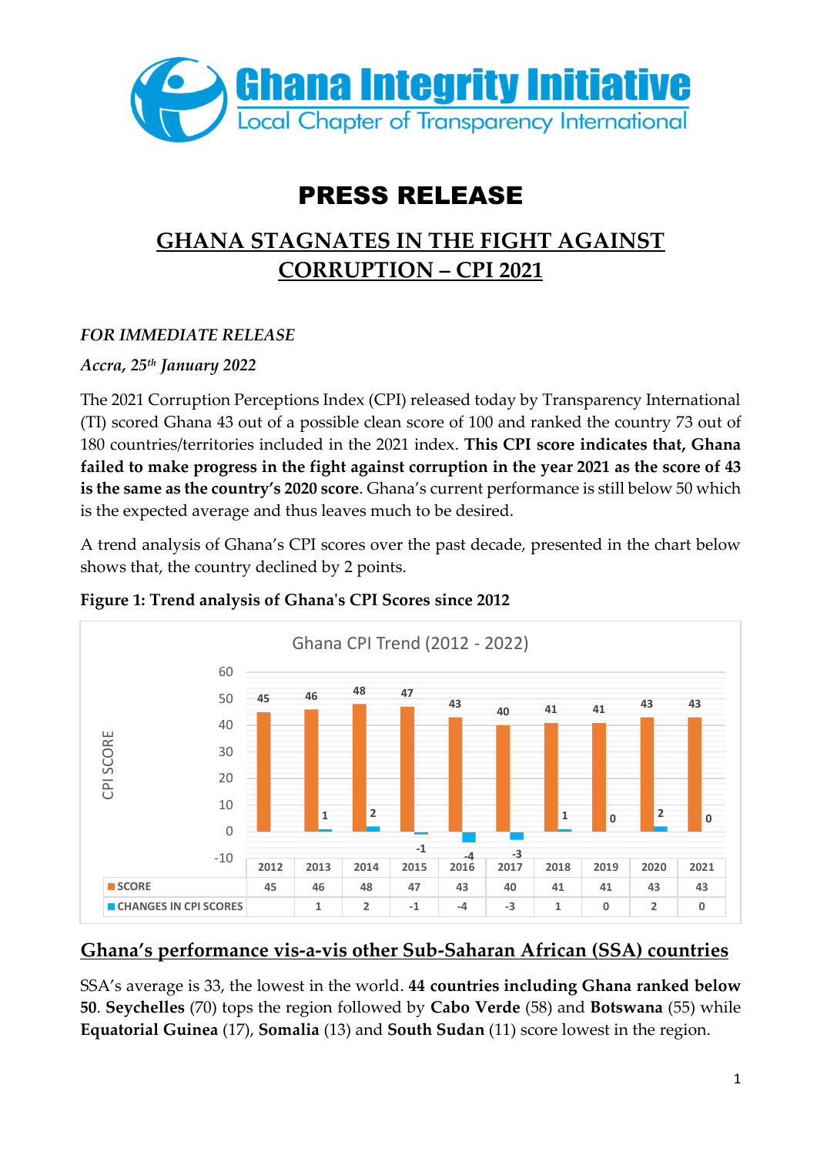

# PRESS RELEASE

## **GHANA STAGNATES IN THE FIGHT AGAINST CORRUPTION – CPI 2021**

### *FOR IMMEDIATE RELEASE*

### *Accra, 25th January 2022*

The 2021 Corruption Perceptions Index (CPI) released today by Transparency International (TI) scored Ghana 43 out of a possible clean score of 100 and ranked the country 73 out of 180 countries/territories included in the 2021 index. **This CPI score indicates that, Ghana failed to make progress in the fight against corruption in the year 2021 as the score of 43 is the same as the country's 2020 score**. Ghana's current performance is still below 50 which is the expected average and thus leaves much to be desired.

A trend analysis of Ghana's CPI scores over the past decade, presented in the chart below shows that, the country declined by 2 points.



#### **Figure 1: Trend analysis of Ghana's CPI Scores since 2012**

## **Ghana's performance vis-a-vis other Sub-Saharan African (SSA) countries**

SSA's average is 33, the lowest in the world. **44 countries including Ghana ranked below 50**. **Seychelles** (70) tops the region followed by **Cabo Verde** (58) and **Botswana** (55) while **Equatorial Guinea** (17), **Somalia** (13) and **South Sudan** (11) score lowest in the region.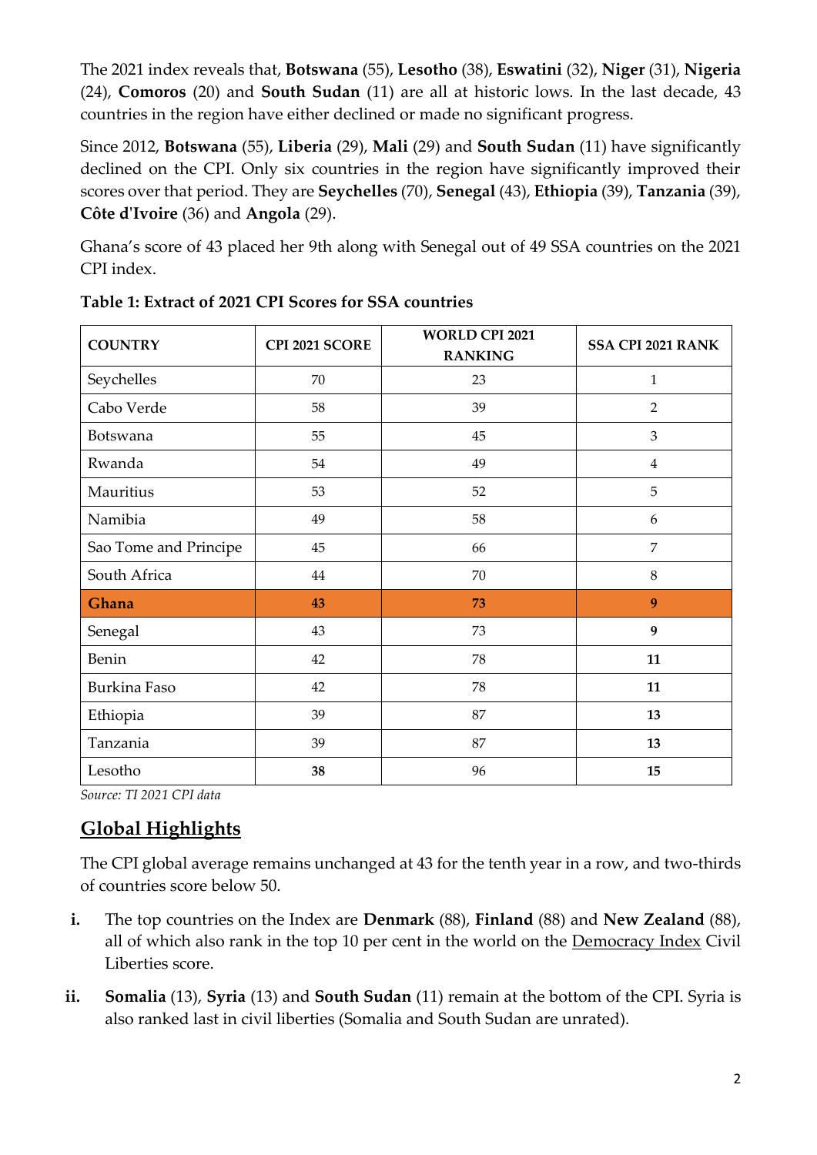The 2021 index reveals that, **Botswana** (55), **Lesotho** (38), **Eswatini** (32), **Niger** (31), **Nigeria**  (24), **Comoros** (20) and **South Sudan** (11) are all at historic lows. In the last decade, 43 countries in the region have either declined or made no significant progress.

Since 2012, **Botswana** (55), **Liberia** (29), **Mali** (29) and **South Sudan** (11) have significantly declined on the CPI. Only six countries in the region have significantly improved their scores over that period. They are **Seychelles** (70), **Senegal** (43), **Ethiopia** (39), **Tanzania** (39), **Côte d'Ivoire** (36) and **Angola** (29).

Ghana's score of 43 placed her 9th along with Senegal out of 49 SSA countries on the 2021 CPI index.

| <b>COUNTRY</b>        | CPI 2021 SCORE | <b>WORLD CPI 2021</b><br><b>RANKING</b> | <b>SSA CPI 2021 RANK</b> |
|-----------------------|----------------|-----------------------------------------|--------------------------|
| Seychelles            | 70             | 23                                      | 1                        |
| Cabo Verde            | 58             | 39                                      | $\overline{2}$           |
| Botswana              | 55             | 45                                      | 3                        |
| Rwanda                | 54             | 49                                      | $\overline{4}$           |
| Mauritius             | 53             | 52                                      | 5                        |
| Namibia               | 49             | 58                                      | $\boldsymbol{6}$         |
| Sao Tome and Principe | 45             | 66                                      | $\overline{7}$           |
| South Africa          | 44             | 70                                      | 8                        |
| Ghana                 | 43             | 73                                      | 9                        |
| Senegal               | 43             | 73                                      | 9                        |
| Benin                 | 42             | 78                                      | 11                       |
| Burkina Faso          | 42             | 78                                      | 11                       |
| Ethiopia              | 39             | 87                                      | 13                       |
| Tanzania              | 39             | 87                                      | 13                       |
| Lesotho               | 38             | 96                                      | 15                       |

**Table 1: Extract of 2021 CPI Scores for SSA countries**

*Source: TI 2021 CPI data*

## **Global Highlights**

The CPI global average remains unchanged at 43 for the tenth year in a row, and two-thirds of countries score below 50.

- **i.** The top countries on the Index are **Denmark** (88), **Finland** (88) and **New Zealand** (88), all of which also rank in the top 10 per cent in the world on the [Democracy Index](https://www.eiu.com/n/campaigns/democracy-index-2020/) Civil Liberties score.
- **ii. Somalia** (13), **Syria** (13) and **South Sudan** (11) remain at the bottom of the CPI. Syria is also ranked last in civil liberties (Somalia and South Sudan are unrated).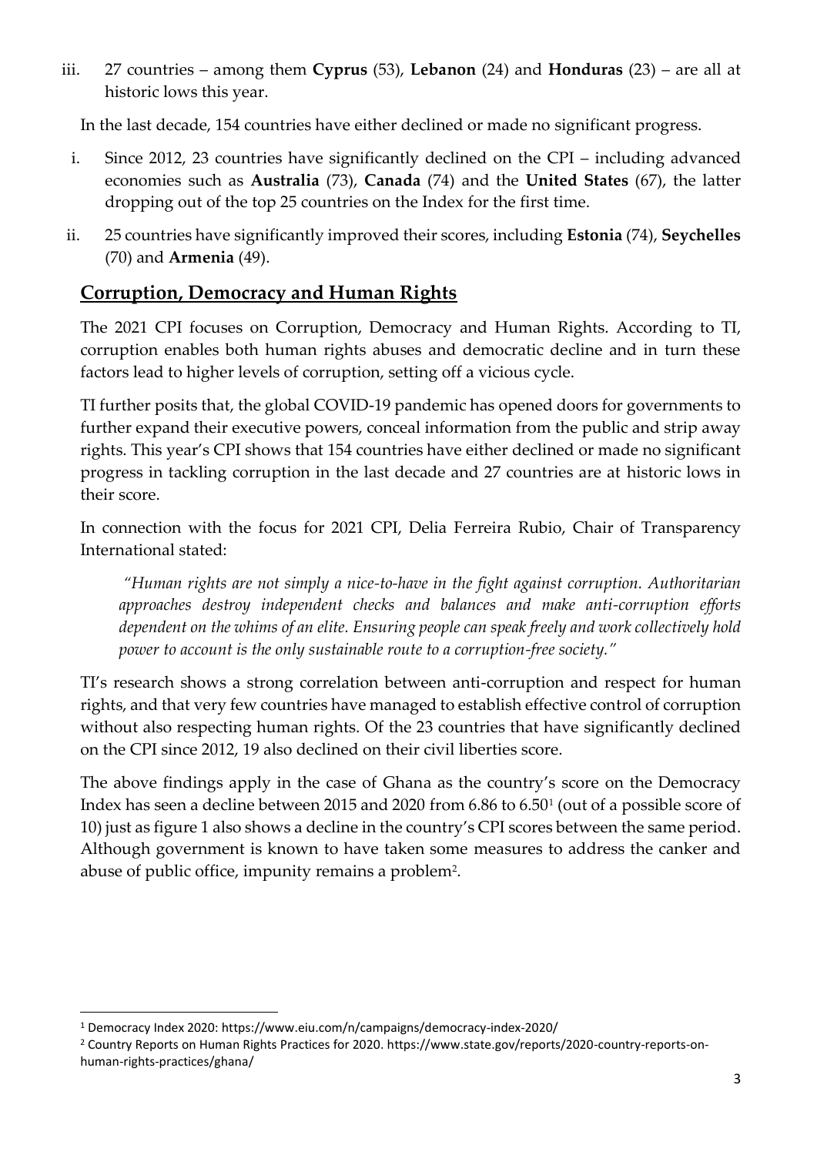iii. 27 countries – among them **Cyprus** (53), **Lebanon** (24) and **Honduras** (23) – are all at historic lows this year.

In the last decade, 154 countries have either declined or made no significant progress.

- i. Since 2012, 23 countries have significantly declined on the CPI including advanced economies such as **Australia** (73), **Canada** (74) and the **United States** (67), the latter dropping out of the top 25 countries on the Index for the first time.
- ii. 25 countries have significantly improved their scores, including **Estonia** (74), **Seychelles** (70) and **Armenia** (49).

## **Corruption, Democracy and Human Rights**

The 2021 CPI focuses on Corruption, Democracy and Human Rights. According to TI, corruption enables both human rights abuses and democratic decline and in turn these factors lead to higher levels of corruption, setting off a vicious cycle.

TI further posits that, the global COVID-19 pandemic has opened doors for governments to further expand their executive powers, conceal information from the public and strip away rights. This year's CPI shows that 154 countries have either declined or made no significant progress in tackling corruption in the last decade and 27 countries are at historic lows in their score.

In connection with the focus for 2021 CPI, Delia Ferreira Rubio, Chair of Transparency International stated:

*"Human rights are not simply a nice-to-have in the fight against corruption. Authoritarian approaches destroy independent checks and balances and make anti-corruption efforts dependent on the whims of an elite. Ensuring people can speak freely and work collectively hold power to account is the only sustainable route to a corruption-free society."*

TI's research shows a strong correlation between anti-corruption and respect for human rights, and that very few countries have managed to establish effective control of corruption without also respecting human rights. Of the 23 countries that have significantly declined on the CPI since 2012, 19 also declined on their civil liberties score.

The above findings apply in the case of Ghana as the country's score on the Democracy Index has seen a decline between 2015 and 2020 from 6.86 to 6.50<sup>1</sup> (out of a possible score of 10) just as figure 1 also shows a decline in the country's CPI scores between the same period. Although government is known to have taken some measures to address the canker and abuse of public office, impunity remains a problem<sup>2</sup>.

<sup>1</sup> Democracy Index 2020: https://www.eiu.com/n/campaigns/democracy-index-2020/

<sup>2</sup> Country Reports on Human Rights Practices for 2020. https://www.state.gov/reports/2020-country-reports-onhuman-rights-practices/ghana/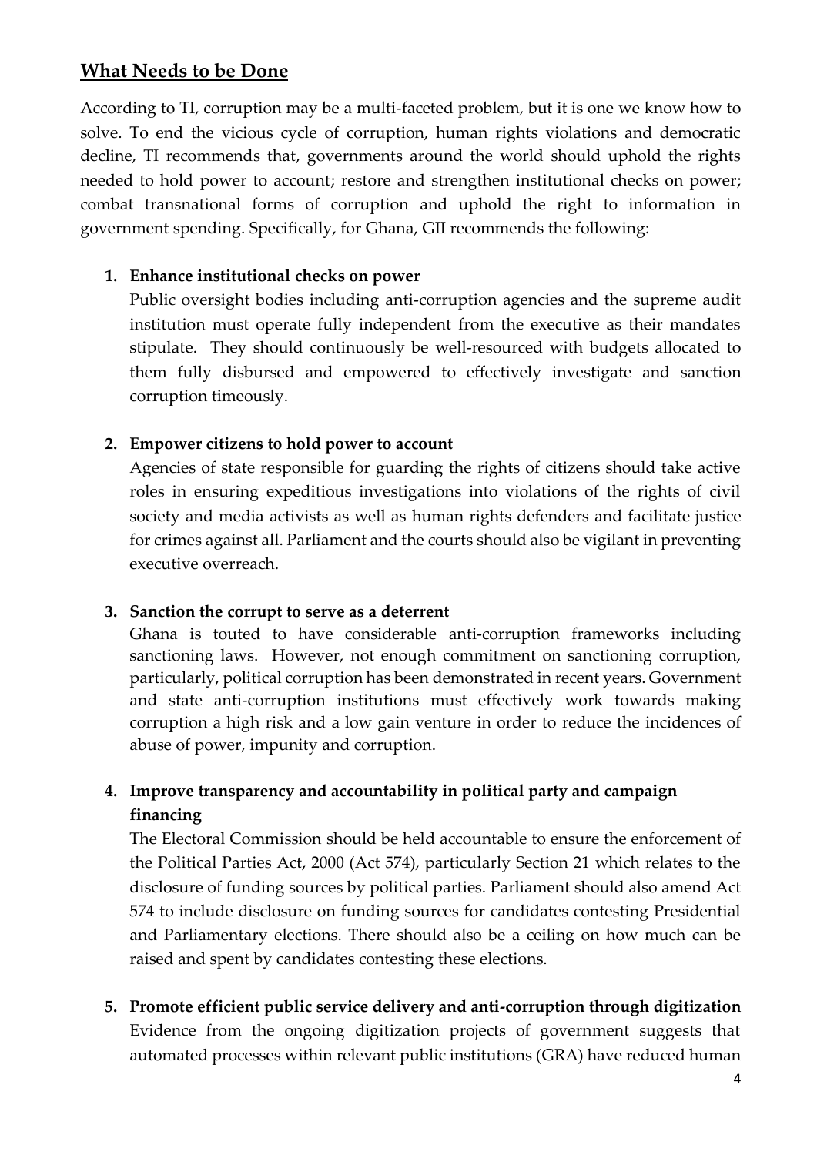## **What Needs to be Done**

According to TI, corruption may be a multi-faceted problem, but it is one we know how to solve. To end the vicious cycle of corruption, human rights violations and democratic decline, TI recommends that, governments around the world should uphold the rights needed to hold power to account; restore and strengthen institutional checks on power; combat transnational forms of corruption and uphold the right to information in government spending. Specifically, for Ghana, GII recommends the following:

#### **1. Enhance institutional checks on power**

Public oversight bodies including anti-corruption agencies and the supreme audit institution must operate fully independent from the executive as their mandates stipulate. They should continuously be well-resourced with budgets allocated to them fully disbursed and empowered to effectively investigate and sanction corruption timeously.

#### **2. Empower citizens to hold power to account**

Agencies of state responsible for guarding the rights of citizens should take active roles in ensuring expeditious investigations into violations of the rights of civil society and media activists as well as human rights defenders and facilitate justice for crimes against all. Parliament and the courts should also be vigilant in preventing executive overreach.

#### **3. Sanction the corrupt to serve as a deterrent**

Ghana is touted to have considerable anti-corruption frameworks including sanctioning laws. However, not enough commitment on sanctioning corruption, particularly, political corruption has been demonstrated in recent years. Government and state anti-corruption institutions must effectively work towards making corruption a high risk and a low gain venture in order to reduce the incidences of abuse of power, impunity and corruption.

## **4. Improve transparency and accountability in political party and campaign financing**

The Electoral Commission should be held accountable to ensure the enforcement of the Political Parties Act, 2000 (Act 574), particularly Section 21 which relates to the disclosure of funding sources by political parties. Parliament should also amend Act 574 to include disclosure on funding sources for candidates contesting Presidential and Parliamentary elections. There should also be a ceiling on how much can be raised and spent by candidates contesting these elections.

**5. Promote efficient public service delivery and anti-corruption through digitization** Evidence from the ongoing digitization projects of government suggests that automated processes within relevant public institutions (GRA) have reduced human